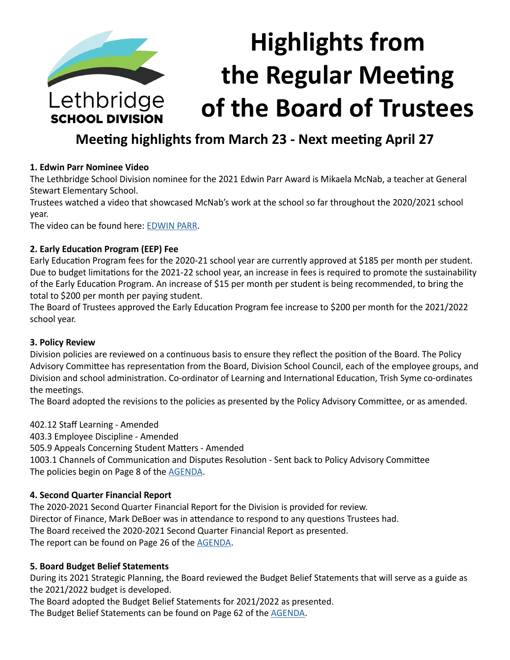

**SCHOOL DIVISION** 

# **Highlights from the Regular Meeting of the Board of Trustees**

## **Meeting highlights from March 23 - Next meeting April 27**

## **1. Edwin Parr Nominee Video**

The Lethbridge School Division nominee for the 2021 Edwin Parr Award is Mikaela McNab, a teacher at General Stewart Elementary School.

Trustees watched a video that showcased McNab's work at the school so far throughout the 2020/2021 school year.

The video can be found here: [EDWIN PARR](https://www.lethsd.ab.ca/our-district/news/post/divisions-edwin-parr-award-nominee-highlighted-in-video).

#### **2. Early Education Program (EEP) Fee**

Early Education Program fees for the 2020-21 school year are currently approved at \$185 per month per student. Due to budget limitations for the 2021-22 school year, an increase in fees is required to promote the sustainability of the Early Education Program. An increase of \$15 per month per student is being recommended, to bring the total to \$200 per month per paying student.

The Board of Trustees approved the Early Education Program fee increase to \$200 per month for the 2021/2022 school year.

#### **3. Policy Review**

Division policies are reviewed on a continuous basis to ensure they reflect the position of the Board. The Policy Advisory Committee has representation from the Board, Division School Council, each of the employee groups, and Division and school administration. Co-ordinator of Learning and International Education, Trish Syme co-ordinates the meetings.

The Board adopted the revisions to the policies as presented by the Policy Advisory Committee, or as amended.

402.12 Staff Learning - Amended

403.3 Employee Discipline - Amended

505.9 Appeals Concerning Student Matters - Amended

1003.1 Channels of Communication and Disputes Resolution - Sent back to Policy Advisory Committee The policies begin on Page 8 of the **[AGENDA](https://www.lethsd.ab.ca/download/334196)**.

## **4. Second Quarter Financial Report**

The 2020-2021 Second Quarter Financial Report for the Division is provided for review. Director of Finance, Mark DeBoer was in attendance to respond to any questions Trustees had. The Board received the 2020-2021 Second Quarter Financial Report as presented. The report can be found on Page 26 of the [AGENDA](https://www.lethsd.ab.ca/download/334196).

## **5. Board Budget Belief Statements**

During its 2021 Strategic Planning, the Board reviewed the Budget Belief Statements that will serve as a guide as the 2021/2022 budget is developed.

The Board adopted the Budget Belief Statements for 2021/2022 as presented.

The Budget Belief Statements can be found on Page 62 of the [AGENDA](https://www.lethsd.ab.ca/download/334196).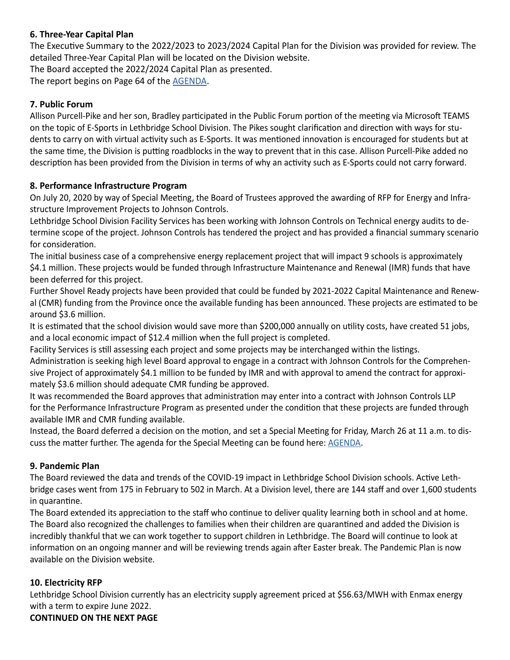## **6. Three-Year Capital Plan**

The Executive Summary to the 2022/2023 to 2023/2024 Capital Plan for the Division was provided for review. The detailed Three-Year Capital Plan will be located on the Division website.

The Board accepted the 2022/2024 Capital Plan as presented.

The report begins on Page 64 of the [AGENDA](https://www.lethsd.ab.ca/download/334196).

#### **7. Public Forum**

Allison Purcell-Pike and her son, Bradley participated in the Public Forum portion of the meeting via Microsoft TEAMS on the topic of E-Sports in Lethbridge School Division. The Pikes sought clarification and direction with ways for students to carry on with virtual activity such as E-Sports. It was mentioned innovation is encouraged for students but at the same time, the Division is putting roadblocks in the way to prevent that in this case. Allison Purcell-Pike added no description has been provided from the Division in terms of why an activity such as E-Sports could not carry forward.

#### **8. Performance Infrastructure Program**

On July 20, 2020 by way of Special Meeting, the Board of Trustees approved the awarding of RFP for Energy and Infrastructure Improvement Projects to Johnson Controls.

Lethbridge School Division Facility Services has been working with Johnson Controls on Technical energy audits to determine scope of the project. Johnson Controls has tendered the project and has provided a financial summary scenario for consideration.

The initial business case of a comprehensive energy replacement project that will impact 9 schools is approximately \$4.1 million. These projects would be funded through Infrastructure Maintenance and Renewal (IMR) funds that have been deferred for this project.

Further Shovel Ready projects have been provided that could be funded by 2021-2022 Capital Maintenance and Renewal (CMR) funding from the Province once the available funding has been announced. These projects are estimated to be around \$3.6 million.

It is estimated that the school division would save more than \$200,000 annually on utility costs, have created 51 jobs, and a local economic impact of \$12.4 million when the full project is completed.

Facility Services is still assessing each project and some projects may be interchanged within the listings.

Administration is seeking high level Board approval to engage in a contract with Johnson Controls for the Comprehensive Project of approximately \$4.1 million to be funded by IMR and with approval to amend the contract for approximately \$3.6 million should adequate CMR funding be approved.

It was recommended the Board approves that administration may enter into a contract with Johnson Controls LLP for the Performance Infrastructure Program as presented under the condition that these projects are funded through available IMR and CMR funding available.

Instead, the Board deferred a decision on the motion, and set a Special Meeting for Friday, March 26 at 11 a.m. to discuss the matter further. The agenda for the Special Meeting can be found here: [AGENDA](https://www.lethsd.ab.ca/download/334535).

#### **9. Pandemic Plan**

The Board reviewed the data and trends of the COVID-19 impact in Lethbridge School Division schools. Active Lethbridge cases went from 175 in February to 502 in March. At a Division level, there are 144 staff and over 1,600 students in quarantine.

The Board extended its appreciation to the staff who continue to deliver quality learning both in school and at home. The Board also recognized the challenges to families when their children are quarantined and added the Division is incredibly thankful that we can work together to support children in Lethbridge. The Board will continue to look at information on an ongoing manner and will be reviewing trends again after Easter break. The Pandemic Plan is now available on the Division website.

## **10. Electricity RFP**

Lethbridge School Division currently has an electricity supply agreement priced at \$56.63/MWH with Enmax energy with a term to expire June 2022.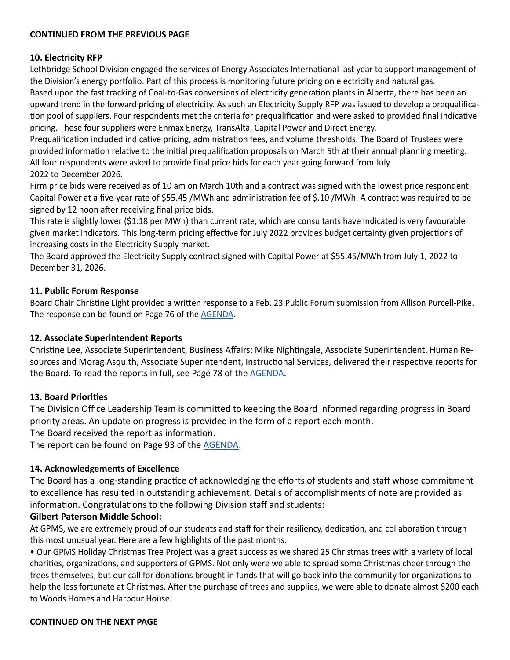#### **10. Electricity RFP**

Lethbridge School Division engaged the services of Energy Associates International last year to support management of the Division's energy portfolio. Part of this process is monitoring future pricing on electricity and natural gas. Based upon the fast tracking of Coal-to-Gas conversions of electricity generation plants in Alberta, there has been an upward trend in the forward pricing of electricity. As such an Electricity Supply RFP was issued to develop a prequalification pool of suppliers. Four respondents met the criteria for prequalification and were asked to provided final indicative pricing. These four suppliers were Enmax Energy, TransAlta, Capital Power and Direct Energy.

Prequalification included indicative pricing, administration fees, and volume thresholds. The Board of Trustees were provided information relative to the initial prequalification proposals on March 5th at their annual planning meeting. All four respondents were asked to provide final price bids for each year going forward from July 2022 to December 2026.

Firm price bids were received as of 10 am on March 10th and a contract was signed with the lowest price respondent Capital Power at a five-year rate of \$55.45 /MWh and administration fee of \$.10 /MWh. A contract was required to be signed by 12 noon after receiving final price bids.

This rate is slightly lower (\$1.18 per MWh) than current rate, which are consultants have indicated is very favourable given market indicators. This long-term pricing effective for July 2022 provides budget certainty given projections of increasing costs in the Electricity Supply market.

The Board approved the Electricity Supply contract signed with Capital Power at \$55.45/MWh from July 1, 2022 to December 31, 2026.

#### **11. Public Forum Response**

Board Chair Christine Light provided a written response to a Feb. 23 Public Forum submission from Allison Purcell-Pike. The response can be found on Page 76 of the [AGENDA.](https://www.lethsd.ab.ca/download/334196)

#### **12. Associate Superintendent Reports**

Christine Lee, Associate Superintendent, Business Affairs; Mike Nightingale, Associate Superintendent, Human Resources and Morag Asquith, Associate Superintendent, Instructional Services, delivered their respective reports for the Board. To read the reports in full, see Page 78 of the [AGENDA](https://www.lethsd.ab.ca/download/334196).

#### **13. Board Priorities**

The Division Office Leadership Team is committed to keeping the Board informed regarding progress in Board priority areas. An update on progress is provided in the form of a report each month.

The Board received the report as information.

The report can be found on Page 93 of the [AGENDA.](https://www.lethsd.ab.ca/download/334196)

#### **14. Acknowledgements of Excellence**

The Board has a long-standing practice of acknowledging the efforts of students and staff whose commitment to excellence has resulted in outstanding achievement. Details of accomplishments of note are provided as information. Congratulations to the following Division staff and students:

#### **Gilbert Paterson Middle School:**

At GPMS, we are extremely proud of our students and staff for their resiliency, dedication, and collaboration through this most unusual year. Here are a few highlights of the past months.

• Our GPMS Holiday Christmas Tree Project was a great success as we shared 25 Christmas trees with a variety of local charities, organizations, and supporters of GPMS. Not only were we able to spread some Christmas cheer through the trees themselves, but our call for donations brought in funds that will go back into the community for organizations to help the less fortunate at Christmas. After the purchase of trees and supplies, we were able to donate almost \$200 each to Woods Homes and Harbour House.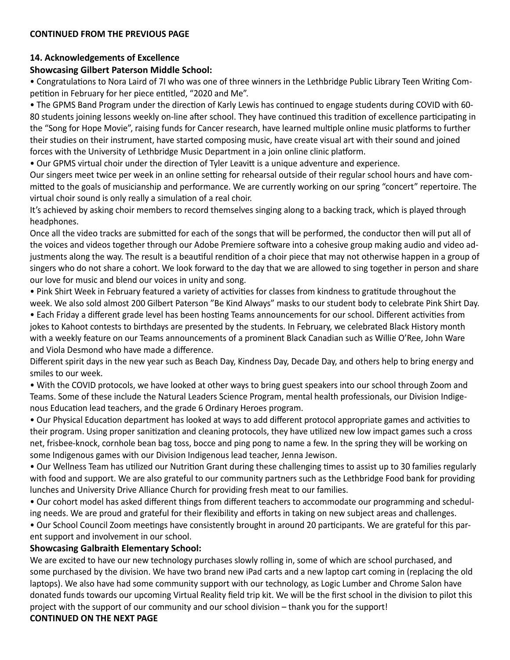#### **14. Acknowledgements of Excellence**

#### **Showcasing Gilbert Paterson Middle School:**

• Congratulations to Nora Laird of 7I who was one of three winners in the Lethbridge Public Library Teen Writing Competition in February for her piece entitled, "2020 and Me".

• The GPMS Band Program under the direction of Karly Lewis has continued to engage students during COVID with 60- 80 students joining lessons weekly on-line after school. They have continued this tradition of excellence participating in the "Song for Hope Movie", raising funds for Cancer research, have learned multiple online music platforms to further their studies on their instrument, have started composing music, have create visual art with their sound and joined forces with the University of Lethbridge Music Department in a join online clinic platform.

• Our GPMS virtual choir under the direction of Tyler Leavitt is a unique adventure and experience.

Our singers meet twice per week in an online setting for rehearsal outside of their regular school hours and have committed to the goals of musicianship and performance. We are currently working on our spring "concert" repertoire. The virtual choir sound is only really a simulation of a real choir.

It's achieved by asking choir members to record themselves singing along to a backing track, which is played through headphones.

Once all the video tracks are submitted for each of the songs that will be performed, the conductor then will put all of the voices and videos together through our Adobe Premiere software into a cohesive group making audio and video adjustments along the way. The result is a beautiful rendition of a choir piece that may not otherwise happen in a group of singers who do not share a cohort. We look forward to the day that we are allowed to sing together in person and share our love for music and blend our voices in unity and song.

• Pink Shirt Week in February featured a variety of activities for classes from kindness to gratitude throughout the week. We also sold almost 200 Gilbert Paterson "Be Kind Always" masks to our student body to celebrate Pink Shirt Day.

• Each Friday a different grade level has been hosting Teams announcements for our school. Different activities from jokes to Kahoot contests to birthdays are presented by the students. In February, we celebrated Black History month with a weekly feature on our Teams announcements of a prominent Black Canadian such as Willie O'Ree, John Ware and Viola Desmond who have made a difference.

Different spirit days in the new year such as Beach Day, Kindness Day, Decade Day, and others help to bring energy and smiles to our week.

• With the COVID protocols, we have looked at other ways to bring guest speakers into our school through Zoom and Teams. Some of these include the Natural Leaders Science Program, mental health professionals, our Division Indigenous Education lead teachers, and the grade 6 Ordinary Heroes program.

• Our Physical Education department has looked at ways to add different protocol appropriate games and activities to their program. Using proper sanitization and cleaning protocols, they have utilized new low impact games such a cross net, frisbee-knock, cornhole bean bag toss, bocce and ping pong to name a few. In the spring they will be working on some Indigenous games with our Division Indigenous lead teacher, Jenna Jewison.

• Our Wellness Team has utilized our Nutrition Grant during these challenging times to assist up to 30 families regularly with food and support. We are also grateful to our community partners such as the Lethbridge Food bank for providing lunches and University Drive Alliance Church for providing fresh meat to our families.

• Our cohort model has asked different things from different teachers to accommodate our programming and scheduling needs. We are proud and grateful for their flexibility and efforts in taking on new subject areas and challenges.

• Our School Council Zoom meetings have consistently brought in around 20 participants. We are grateful for this parent support and involvement in our school.

#### **Showcasing Galbraith Elementary School:**

We are excited to have our new technology purchases slowly rolling in, some of which are school purchased, and some purchased by the division. We have two brand new iPad carts and a new laptop cart coming in (replacing the old laptops). We also have had some community support with our technology, as Logic Lumber and Chrome Salon have donated funds towards our upcoming Virtual Reality field trip kit. We will be the first school in the division to pilot this project with the support of our community and our school division – thank you for the support!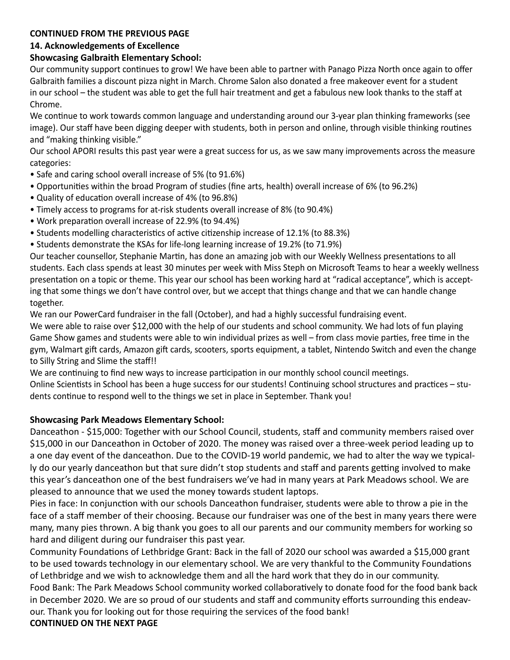## **14. Acknowledgements of Excellence**

## **Showcasing Galbraith Elementary School:**

Our community support continues to grow! We have been able to partner with Panago Pizza North once again to offer Galbraith families a discount pizza night in March. Chrome Salon also donated a free makeover event for a student in our school – the student was able to get the full hair treatment and get a fabulous new look thanks to the staff at Chrome.

We continue to work towards common language and understanding around our 3-year plan thinking frameworks (see image). Our staff have been digging deeper with students, both in person and online, through visible thinking routines and "making thinking visible."

Our school APORI results this past year were a great success for us, as we saw many improvements across the measure categories:

- Safe and caring school overall increase of 5% (to 91.6%)
- Opportunities within the broad Program of studies (fine arts, health) overall increase of 6% (to 96.2%)
- Quality of education overall increase of 4% (to 96.8%)
- Timely access to programs for at-risk students overall increase of 8% (to 90.4%)
- Work preparation overall increase of 22.9% (to 94.4%)
- Students modelling characteristics of active citizenship increase of 12.1% (to 88.3%)
- Students demonstrate the KSAs for life-long learning increase of 19.2% (to 71.9%)

Our teacher counsellor, Stephanie Martin, has done an amazing job with our Weekly Wellness presentations to all students. Each class spends at least 30 minutes per week with Miss Steph on Microsoft Teams to hear a weekly wellness presentation on a topic or theme. This year our school has been working hard at "radical acceptance", which is accepting that some things we don't have control over, but we accept that things change and that we can handle change together.

We ran our PowerCard fundraiser in the fall (October), and had a highly successful fundraising event.

We were able to raise over \$12,000 with the help of our students and school community. We had lots of fun playing Game Show games and students were able to win individual prizes as well – from class movie parties, free time in the gym, Walmart gift cards, Amazon gift cards, scooters, sports equipment, a tablet, Nintendo Switch and even the change to Silly String and Slime the staff!!

We are continuing to find new ways to increase participation in our monthly school council meetings.

Online Scientists in School has been a huge success for our students! Continuing school structures and practices – students continue to respond well to the things we set in place in September. Thank you!

## **Showcasing Park Meadows Elementary School:**

Danceathon - \$15,000: Together with our School Council, students, staff and community members raised over \$15,000 in our Danceathon in October of 2020. The money was raised over a three-week period leading up to a one day event of the danceathon. Due to the COVID-19 world pandemic, we had to alter the way we typically do our yearly danceathon but that sure didn't stop students and staff and parents getting involved to make this year's danceathon one of the best fundraisers we've had in many years at Park Meadows school. We are pleased to announce that we used the money towards student laptops.

Pies in face: In conjunction with our schools Danceathon fundraiser, students were able to throw a pie in the face of a staff member of their choosing. Because our fundraiser was one of the best in many years there were many, many pies thrown. A big thank you goes to all our parents and our community members for working so hard and diligent during our fundraiser this past year.

Community Foundations of Lethbridge Grant: Back in the fall of 2020 our school was awarded a \$15,000 grant to be used towards technology in our elementary school. We are very thankful to the Community Foundations of Lethbridge and we wish to acknowledge them and all the hard work that they do in our community. Food Bank: The Park Meadows School community worked collaboratively to donate food for the food bank back in December 2020. We are so proud of our students and staff and community efforts surrounding this endeavour. Thank you for looking out for those requiring the services of the food bank!